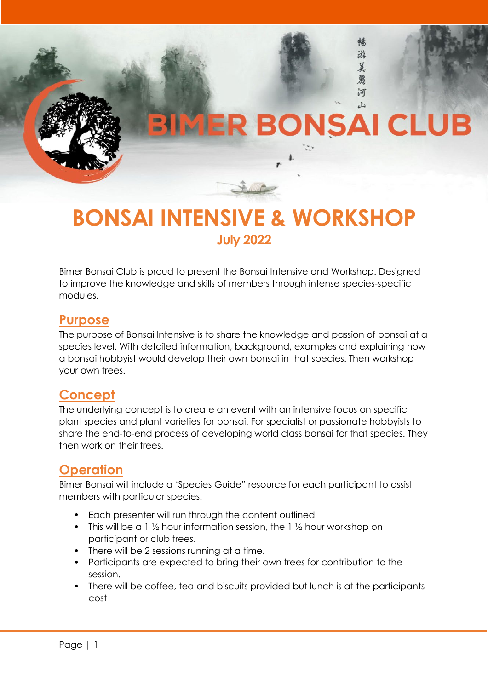# **BIMER BONSAI CLUB**

 $\mathfrak{B}$ 

Email: info@bimerbonsai.org.au 美

> 鼐 河 山

Bimer Bonsai Club Inc., P.O. Box 64, Geebung, Queensland 4034 Australia



Bimer Bonsai Club is proud to present the Bonsai Intensive and Workshop. Designed to improve the knowledge and skills of members through intense species-specific modules.

# **Purpose**

The purpose of Bonsai Intensive is to share the knowledge and passion of bonsai at a species level. With detailed information, background, examples and explaining how a bonsai hobbyist would develop their own bonsai in that species. Then workshop your own trees.

# **Concept**

The underlying concept is to create an event with an intensive focus on specific plant species and plant varieties for bonsai. For specialist or passionate hobbyists to share the end-to-end process of developing world class bonsai for that species. They then work on their trees.

# **Operation**

Bimer Bonsai will include a 'Species Guide" resource for each participant to assist members with particular species.

- Each presenter will run through the content outlined
- This will be a 1  $\frac{1}{2}$  hour information session, the 1  $\frac{1}{2}$  hour workshop on participant or club trees.
- There will be 2 sessions running at a time.
- Participants are expected to bring their own trees for contribution to the session.
- There will be coffee, tea and biscuits provided but lunch is at the participants cost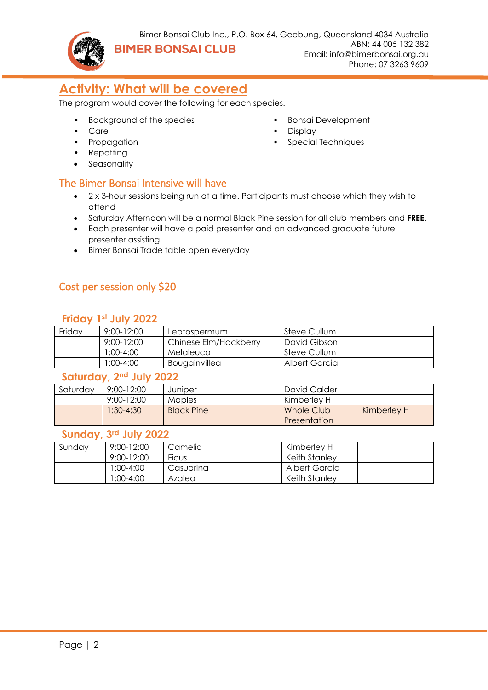

Email: info@bimerbonsai.org.au Phone: 07 3263 9609

• Bonsai Development

• Special Techniques

• Display

# **Activity: What will be covered**

The program would cover the following for each species.

- Background of the species
- Care
- Propagation
- Repotting
- Seasonality

### The Bimer Bonsai Intensive will have

- 2 x 3-hour sessions being run at a time. Participants must choose which they wish to attend
- Saturday Afternoon will be a normal Black Pine session for all club members and **FREE**.
- Each presenter will have a paid presenter and an advanced graduate future presenter assisting
- Bimer Bonsai Trade table open everyday

## Cost per session only \$20

#### **Friday 1st July 2022**

| Friday | $9:00 - 12:00$ | Leptospermum          | Steve Cullum  |  |
|--------|----------------|-----------------------|---------------|--|
|        | 9:00-12:00     | Chinese Elm/Hackberry | David Gibson  |  |
|        | 1:00-4:00      | Melaleuca             | Steve Cullum  |  |
|        | 00:4-00:1      | Bougainvillea         | Albert Garcia |  |

#### **Saturday, 2nd July 2022**

| Saturday | $9:00 - 12:00$ | Juniper           | David Calder               |             |
|----------|----------------|-------------------|----------------------------|-------------|
|          | 9:00-12:00     | <b>Maples</b>     | Kimberlev H                |             |
|          | $1:30-4:30$    | <b>Black Pine</b> | Whole Club<br>Presentation | Kimberley H |

### **Sunday, 3rd July 2022**

| Sundav | $9:00 - 12:00$ | Camelia      | Kimberlev H   |  |
|--------|----------------|--------------|---------------|--|
|        | $9:00 - 12:00$ | <b>Ficus</b> | Keith Stanley |  |
|        | 1:00-4:00      | Casuarina    | Albert Garcia |  |
|        | 1:00-4:00      | Azalea       | Keith Stanlev |  |